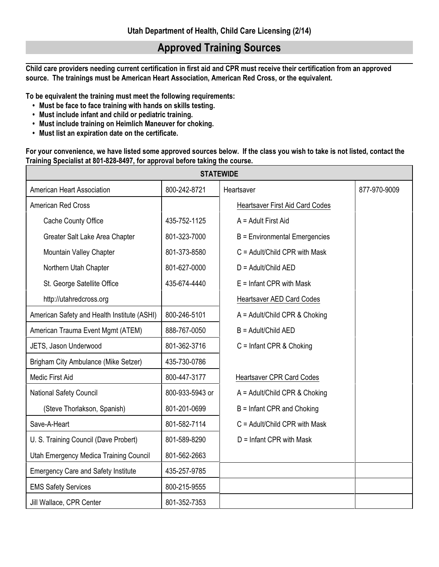## **Approved Training Sources**

**Child care providers needing current certification in first aid and CPR must receive their certification from an approved source. The trainings must be American Heart Association, American Red Cross, or the equivalent.** 

**To be equivalent the training must meet the following requirements:**

- **• Must be face to face training with hands on skills testing.**
- **• Must include infant and child or pediatric training.**
- **• Must include training on Heimlich Maneuver for choking.**
- **• Must list an expiration date on the certificate.**

**For your convenience, we have listed some approved sources below. If the class you wish to take is not listed, contact the Training Specialist at 801-828-8497, for approval before taking the course.** 

| <b>STATEWIDE</b>                            |                 |                                        |              |  |
|---------------------------------------------|-----------------|----------------------------------------|--------------|--|
| American Heart Association                  | 800-242-8721    | Heartsaver                             | 877-970-9009 |  |
| <b>American Red Cross</b>                   |                 | <b>Heartsaver First Aid Card Codes</b> |              |  |
| Cache County Office                         | 435-752-1125    | A = Adult First Aid                    |              |  |
| Greater Salt Lake Area Chapter              | 801-323-7000    | <b>B</b> = Environmental Emergencies   |              |  |
| Mountain Valley Chapter                     | 801-373-8580    | $C =$ Adult/Child CPR with Mask        |              |  |
| Northern Utah Chapter                       | 801-627-0000    | $D =$ Adult/Child AED                  |              |  |
| St. George Satellite Office                 | 435-674-4440    | $E =$ Infant CPR with Mask             |              |  |
| http://utahredcross.org                     |                 | Heartsaver AED Card Codes              |              |  |
| American Safety and Health Institute (ASHI) | 800-246-5101    | A = Adult/Child CPR & Choking          |              |  |
| American Trauma Event Mgmt (ATEM)           | 888-767-0050    | B = Adult/Child AED                    |              |  |
| JETS, Jason Underwood                       | 801-362-3716    | $C =$ Infant CPR & Choking             |              |  |
| Brigham City Ambulance (Mike Setzer)        | 435-730-0786    |                                        |              |  |
| Medic First Aid                             | 800-447-3177    | <b>Heartsaver CPR Card Codes</b>       |              |  |
| <b>National Safety Council</b>              | 800-933-5943 or | $A =$ Adult/Child CPR & Choking        |              |  |
| (Steve Thorlakson, Spanish)                 | 801-201-0699    | B = Infant CPR and Choking             |              |  |
| Save-A-Heart                                | 801-582-7114    | $C =$ Adult/Child CPR with Mask        |              |  |
| U. S. Training Council (Dave Probert)       | 801-589-8290    | $D =$ Infant CPR with Mask             |              |  |
| Utah Emergency Medica Training Council      | 801-562-2663    |                                        |              |  |
| <b>Emergency Care and Safety Institute</b>  | 435-257-9785    |                                        |              |  |
| <b>EMS Safety Services</b>                  | 800-215-9555    |                                        |              |  |
| Jill Wallace, CPR Center                    | 801-352-7353    |                                        |              |  |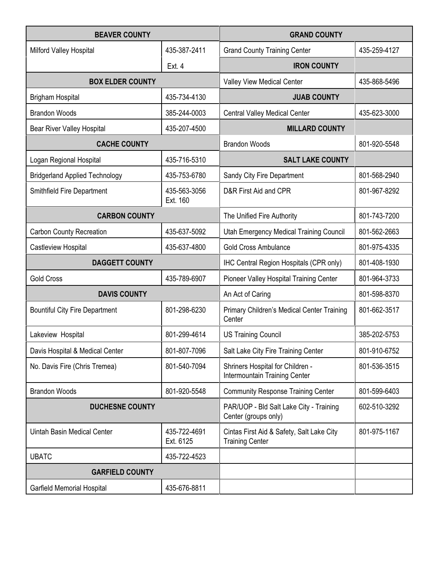| <b>BEAVER COUNTY</b>                  |                           | <b>GRAND COUNTY</b>                                                 |              |
|---------------------------------------|---------------------------|---------------------------------------------------------------------|--------------|
| Milford Valley Hospital               | 435-387-2411              | <b>Grand County Training Center</b>                                 | 435-259-4127 |
|                                       | Ext. $4$                  | <b>IRON COUNTY</b>                                                  |              |
| <b>BOX ELDER COUNTY</b>               |                           | Valley View Medical Center                                          | 435-868-5496 |
| <b>Brigham Hospital</b>               | 435-734-4130              | <b>JUAB COUNTY</b>                                                  |              |
| <b>Brandon Woods</b>                  | 385-244-0003              | <b>Central Valley Medical Center</b>                                | 435-623-3000 |
| <b>Bear River Valley Hospital</b>     | 435-207-4500              | <b>MILLARD COUNTY</b>                                               |              |
| <b>CACHE COUNTY</b>                   |                           | <b>Brandon Woods</b>                                                | 801-920-5548 |
| Logan Regional Hospital               | 435-716-5310              | <b>SALT LAKE COUNTY</b>                                             |              |
| <b>Bridgerland Applied Technology</b> | 435-753-6780              | Sandy City Fire Department                                          | 801-568-2940 |
| Smithfield Fire Department            | 435-563-3056<br>Ext. 160  | D&R First Aid and CPR                                               | 801-967-8292 |
| <b>CARBON COUNTY</b>                  |                           | The Unified Fire Authority                                          | 801-743-7200 |
| <b>Carbon County Recreation</b>       | 435-637-5092              | Utah Emergency Medical Training Council                             | 801-562-2663 |
| Castleview Hospital                   | 435-637-4800              | <b>Gold Cross Ambulance</b>                                         | 801-975-4335 |
| <b>DAGGETT COUNTY</b>                 |                           | IHC Central Region Hospitals (CPR only)                             | 801-408-1930 |
| <b>Gold Cross</b>                     | 435-789-6907              | <b>Pioneer Valley Hospital Training Center</b>                      | 801-964-3733 |
| <b>DAVIS COUNTY</b>                   |                           | An Act of Caring                                                    | 801-598-8370 |
| <b>Bountiful City Fire Department</b> | 801-298-6230              | Primary Children's Medical Center Training<br>Center                | 801-662-3517 |
| Lakeview Hospital                     | 801-299-4614              | <b>US Training Council</b>                                          | 385-202-5753 |
| Davis Hospital & Medical Center       | 801-807-7096              | Salt Lake City Fire Training Center                                 | 801-910-6752 |
| No. Davis Fire (Chris Tremea)         | 801-540-7094              | Shriners Hospital for Children -<br>Intermountain Training Center   | 801-536-3515 |
| <b>Brandon Woods</b>                  | 801-920-5548              | <b>Community Response Training Center</b>                           | 801-599-6403 |
| <b>DUCHESNE COUNTY</b>                |                           | PAR/UOP - Bld Salt Lake City - Training<br>Center (groups only)     | 602-510-3292 |
| <b>Uintah Basin Medical Center</b>    | 435-722-4691<br>Ext. 6125 | Cintas First Aid & Safety, Salt Lake City<br><b>Training Center</b> | 801-975-1167 |
| <b>UBATC</b>                          | 435-722-4523              |                                                                     |              |
| <b>GARFIELD COUNTY</b>                |                           |                                                                     |              |
| <b>Garfield Memorial Hospital</b>     | 435-676-8811              |                                                                     |              |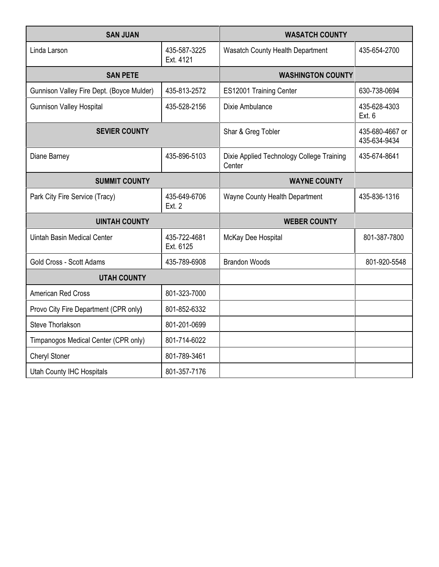| <b>SAN JUAN</b>                           |                               | <b>WASATCH COUNTY</b>                               |                                 |
|-------------------------------------------|-------------------------------|-----------------------------------------------------|---------------------------------|
| Linda Larson                              | 435-587-3225<br>Ext. 4121     | Wasatch County Health Department                    | 435-654-2700                    |
| <b>SAN PETE</b>                           |                               | <b>WASHINGTON COUNTY</b>                            |                                 |
| Gunnison Valley Fire Dept. (Boyce Mulder) | 435-813-2572                  | ES12001 Training Center                             | 630-738-0694                    |
| <b>Gunnison Valley Hospital</b>           | 435-528-2156                  | Dixie Ambulance                                     | 435-628-4303<br>Ext. 6          |
| <b>SEVIER COUNTY</b>                      |                               | Shar & Greg Tobler                                  | 435-680-4667 or<br>435-634-9434 |
| Diane Barney                              | 435-896-5103                  | Dixie Applied Technology College Training<br>Center | 435-674-8641                    |
| <b>SUMMIT COUNTY</b>                      |                               | <b>WAYNE COUNTY</b>                                 |                                 |
| Park City Fire Service (Tracy)            | 435-649-6706<br><b>Ext. 2</b> | Wayne County Health Department                      | 435-836-1316                    |
| <b>UINTAH COUNTY</b>                      |                               | <b>WEBER COUNTY</b>                                 |                                 |
| <b>Uintah Basin Medical Center</b>        | 435-722-4681<br>Ext. 6125     | McKay Dee Hospital                                  | 801-387-7800                    |
| Gold Cross - Scott Adams                  | 435-789-6908                  | <b>Brandon Woods</b>                                | 801-920-5548                    |
| <b>UTAH COUNTY</b>                        |                               |                                                     |                                 |
| American Red Cross                        | 801-323-7000                  |                                                     |                                 |
| Provo City Fire Department (CPR only)     | 801-852-6332                  |                                                     |                                 |
| Steve Thorlakson                          | 801-201-0699                  |                                                     |                                 |
| Timpanogos Medical Center (CPR only)      | 801-714-6022                  |                                                     |                                 |
| <b>Cheryl Stoner</b>                      | 801-789-3461                  |                                                     |                                 |
| <b>Utah County IHC Hospitals</b>          | 801-357-7176                  |                                                     |                                 |